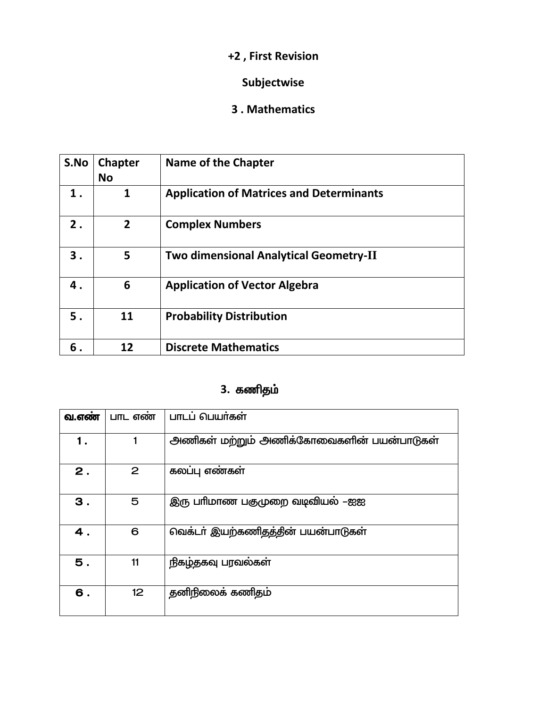## Subjectwise

#### 3. Mathematics

| S.No | <b>Chapter</b><br><b>No</b> | Name of the Chapter                             |
|------|-----------------------------|-------------------------------------------------|
| 1.   | 1                           | <b>Application of Matrices and Determinants</b> |
| 2.   | 2                           | <b>Complex Numbers</b>                          |
| 3.   | 5                           | <b>Two dimensional Analytical Geometry-II</b>   |
| 4.   | 6                           | <b>Application of Vector Algebra</b>            |
| 5.   | 11                          | <b>Probability Distribution</b>                 |
| 6.   | 12                          | <b>Discrete Mathematics</b>                     |

# 3. கணிதம்

| வ.எண் | பாட எண          | பாடப் பெயர்கள்                            |
|-------|-----------------|-------------------------------------------|
| 1.    |                 | அணிகள் மற்றும் அணிக்கோவைகளின் பயன்பாடுகள் |
| 2.    | 2               | கலப்பு எண்கள்                             |
| З.    | 5               | இரு பாிமாண பகுமுறை வடிவியல் –ஐஐ           |
| 4.    | 6               | வெக்டா் இயற்கணிதத்தின் பயன்பாடுகள்        |
| 5.    | 11              | நிகழ்தகவு பரவல்கள்                        |
| 6.    | 12 <sup>2</sup> | தனிநிலைக் கணிதம்                          |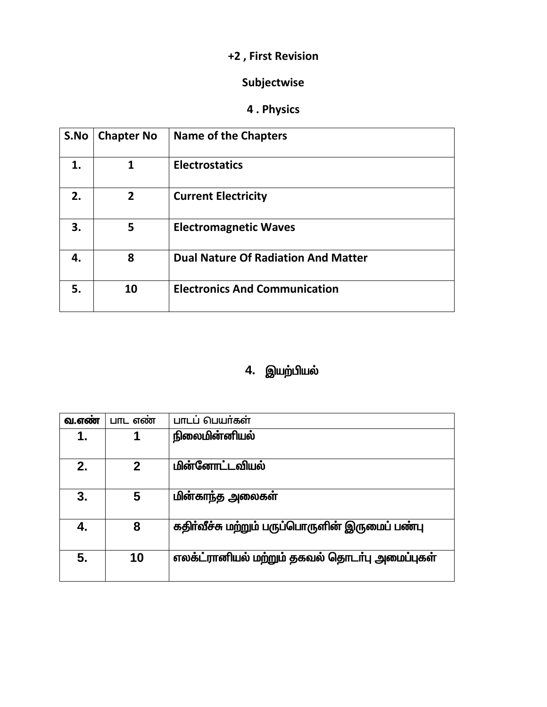## Subjectwise

# 4. Physics

| S.No | <b>Chapter No</b> | <b>Name of the Chapters</b>                |
|------|-------------------|--------------------------------------------|
| 1.   | 1                 | <b>Electrostatics</b>                      |
| 2.   | $\overline{2}$    | <b>Current Electricity</b>                 |
| 3.   | 5                 | <b>Electromagnetic Waves</b>               |
| 4.   | 8                 | <b>Dual Nature Of Radiation And Matter</b> |
| 5.   | 10                | <b>Electronics And Communication</b>       |

# 4. இயற்பியல்

| வ.எண | பாட எண      | பாடப் பெயர்கள்                                  |
|------|-------------|-------------------------------------------------|
| 1.   | 1           | நிலைமின்னியல்                                   |
|      |             |                                                 |
| 2.   | $\mathbf 2$ | <u>மின்னோட்டவியல்</u>                           |
|      |             |                                                 |
| 3.   | 5           | மின்காந்த அலைகள்                                |
| 4.   | 8           | கதிர்வீச்சு மற்றும் பருப்பொருளின் இருமைப் பண்பு |
| 5.   | 10          | எலக்ட்ரானியல் மற்றும் தகவல் தொடர்பு அமைப்புகள்  |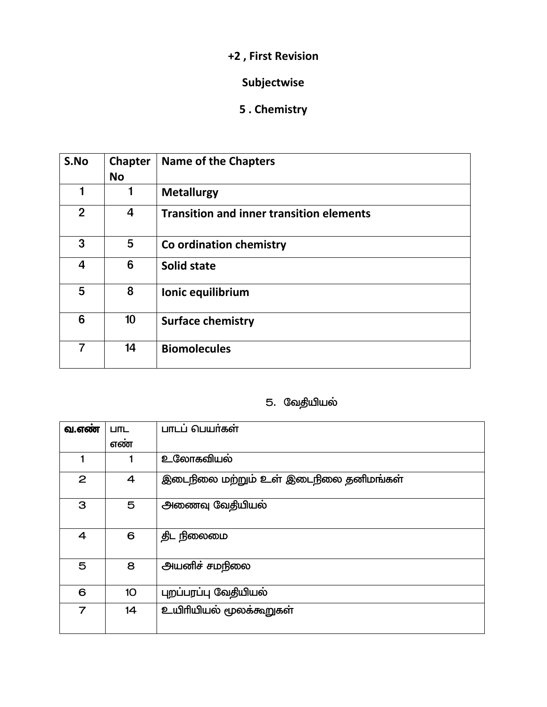# Subjectwise

# 5. Chemistry

| S.No           | <b>Chapter</b><br><b>No</b> | <b>Name of the Chapters</b>                     |
|----------------|-----------------------------|-------------------------------------------------|
|                | 1                           | <b>Metallurgy</b>                               |
| $\overline{2}$ | 4                           | <b>Transition and inner transition elements</b> |
| 3              | 5                           | Co ordination chemistry                         |
| $\overline{4}$ | 6                           | <b>Solid state</b>                              |
| 5              | 8                           | Ionic equilibrium                               |
| 6              | 10                          | <b>Surface chemistry</b>                        |
| 7              | 14                          | <b>Biomolecules</b>                             |

## 5. வேதியியல்

| வ.எண்          | <b>LITL</b>     | பாடப் பெயர்கள்                        |
|----------------|-----------------|---------------------------------------|
|                | எண்             |                                       |
|                | 1               | உலோகவியல்                             |
| 2              | 4               | இடைநிலை மற்றும் உள் இடைநிலை தனிமங்கள் |
| З              | 5               | அணைவு வேதியியல்                       |
| 4              | 6               | திட நிலைமை                            |
| 5              | 8               | அயனிச் சமநிலை                         |
| 6              | 10 <sub>o</sub> | புறப்பரப்பு வேதியியல்                 |
| $\overline{7}$ | 14              | உயிரியியல் மூலக்கூறுகள்               |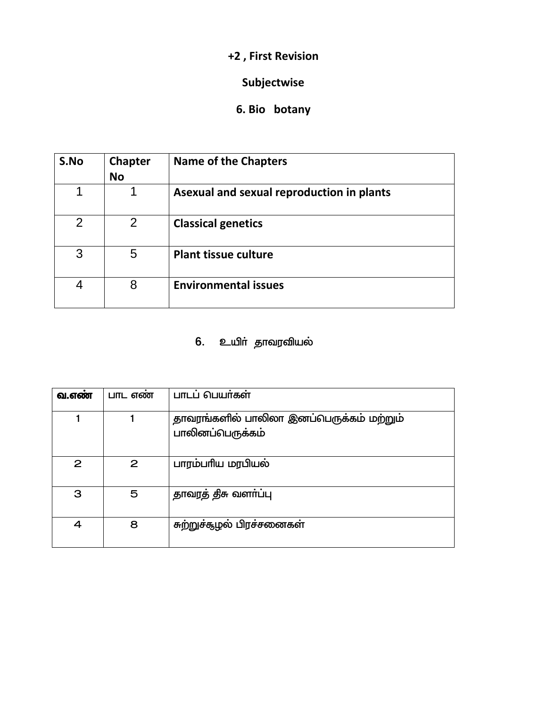## Subjectwise

## 6. Bio botany

| S.No           | <b>Chapter</b><br><b>No</b> | <b>Name of the Chapters</b>               |
|----------------|-----------------------------|-------------------------------------------|
| 1              | 1                           | Asexual and sexual reproduction in plants |
| $\overline{2}$ | 2                           | <b>Classical genetics</b>                 |
| 3              | 5                           | <b>Plant tissue culture</b>               |
| 4              | 8                           | <b>Environmental issues</b>               |

# 6. உயிா் தாவரவியல்

| வ.எண் | பாட எண       | பாடப் பெயர்கள்                                               |
|-------|--------------|--------------------------------------------------------------|
|       |              | தாவரங்களில் பாலிலா இனப்பெருக்கம் மற்றும்<br>பாலினப்பெருக்கம் |
| 2     | $\mathbf{2}$ | பாரம்பரிய மரபியல்                                            |
| 3     | 5            | தாவரத் திசு வளா்ப்பு                                         |
| 4     | 8            | சுற்றுச்சூழல் பிரச்சனைகள்                                    |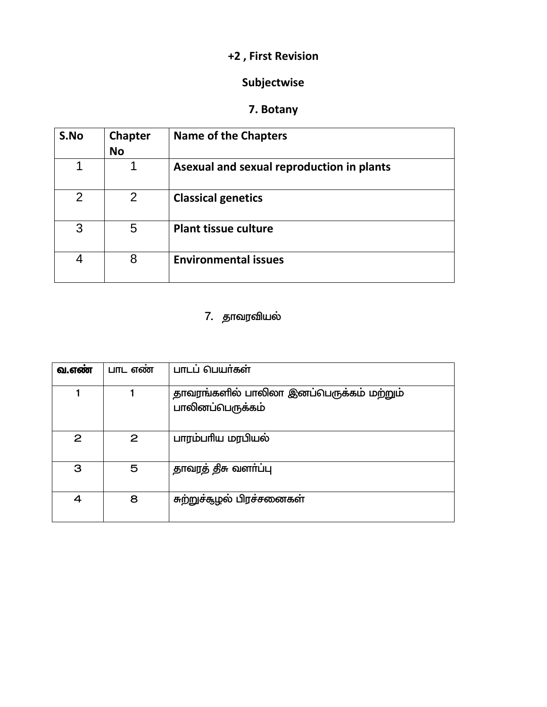### Subjectwise

## 7. Botany

| S.No           | <b>Chapter</b><br><b>No</b> | <b>Name of the Chapters</b>               |
|----------------|-----------------------------|-------------------------------------------|
| 1              |                             | Asexual and sexual reproduction in plants |
| $\overline{2}$ | 2                           | <b>Classical genetics</b>                 |
| 3              | 5                           | <b>Plant tissue culture</b>               |
| 4              | 8                           | <b>Environmental issues</b>               |

# 7. தாவரவியல்

| வ.எண் | பாட எண | பாடப் பெயர்கள்                                               |
|-------|--------|--------------------------------------------------------------|
|       |        | தாவரங்களில் பாலிலா இனப்பெருக்கம் மற்றும்<br>பாலினப்பெருக்கம் |
| 2     | 2      | பாரம்பரிய மரபியல்                                            |
| 3     | 5      | தாவரத் திசு வளா்ப்பு                                         |
| 4     | 8      | சுற்றுச்சூழல் பிரச்சனைகள்                                    |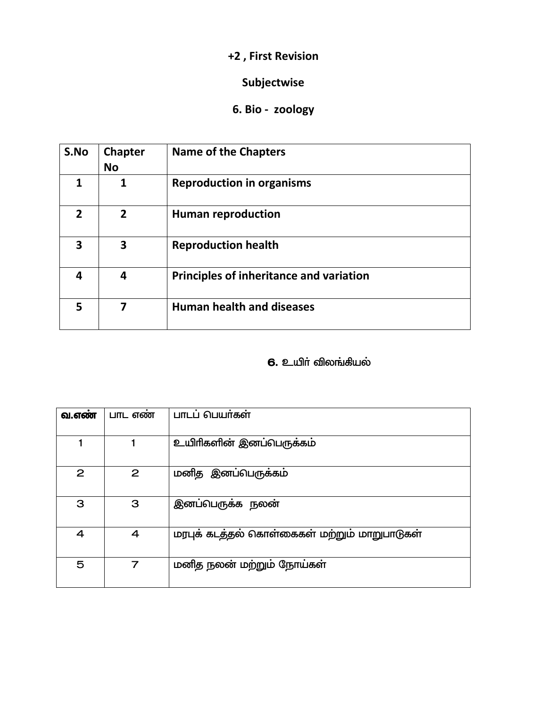### **Subjectwise**

## **6. Bio - zoology**

| S.No         | <b>Chapter</b><br><b>No</b> | <b>Name of the Chapters</b>             |
|--------------|-----------------------------|-----------------------------------------|
| 1            |                             | <b>Reproduction in organisms</b>        |
| $\mathbf{z}$ | $\overline{2}$              | <b>Human reproduction</b>               |
| 3            | 3                           | <b>Reproduction health</b>              |
| 4            | 4                           | Principles of inheritance and variation |
| 5            | 7                           | <b>Human health and diseases</b>        |

#### $6.$  உயிா் விலங்கியல்

| வ.எண         | பாட எண் | பாடப் பெயர்கள்                               |
|--------------|---------|----------------------------------------------|
|              |         | உயிரிகளின் இனப்பெருக்கம்                     |
| $\mathbf{2}$ | 2       | மனித இனப்பெருக்கம்                           |
| З            | З       | இனப்பெருக்க நலன்                             |
| 4            | 4       | மரபுக் கடத்தல் கொள்கைகள் மற்றும் மாறுபாடுகள் |
| 5            | 7       | மனித நலன் மற்றும் நோய்கள்                    |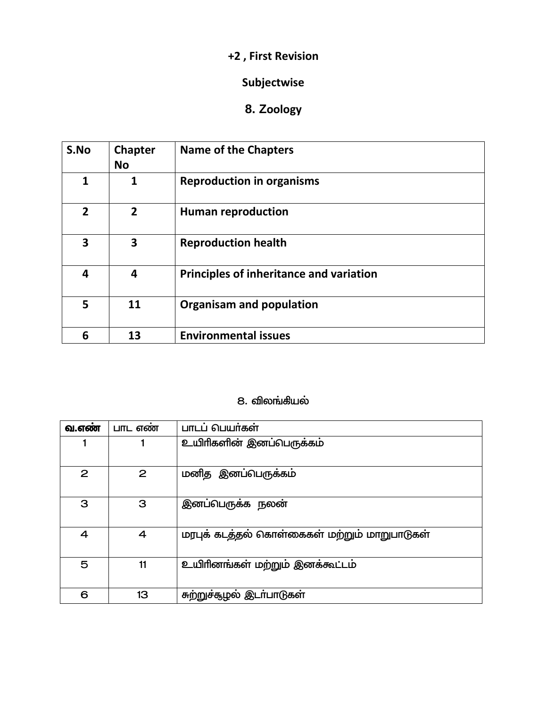### Subjectwise

# 8. Zoology

| S.No           | <b>Chapter</b><br><b>No</b> | <b>Name of the Chapters</b>             |
|----------------|-----------------------------|-----------------------------------------|
| 1              | 1                           | <b>Reproduction in organisms</b>        |
| $\overline{2}$ | $\overline{2}$              | <b>Human reproduction</b>               |
| 3              | 3                           | <b>Reproduction health</b>              |
| 4              | $\overline{\mathbf{a}}$     | Principles of inheritance and variation |
| 5              | 11                          | <b>Organisam and population</b>         |
| 6              | 13                          | <b>Environmental issues</b>             |

#### 8. விலங்கியல்

| வ.எண | பாட எண | பாடப் பெயர்கள்                               |
|------|--------|----------------------------------------------|
|      |        | உயிாிகளின் இனப்பெருக்கம்                     |
| 2    | 2      | மனித இனப்பெருக்கம்                           |
| З    | 3      | இனப்பெருக்க நலன்                             |
| 4    | 4      | மரபுக் கடத்தல் கொள்கைகள் மற்றும் மாறுபாடுகள் |
| 5    | 11     | உயிரினங்கள் மற்றும் இனக்கூட்டம்              |
| 6    | 13     | சுற்றுச்கூழல் இடா்பாடுகள்                    |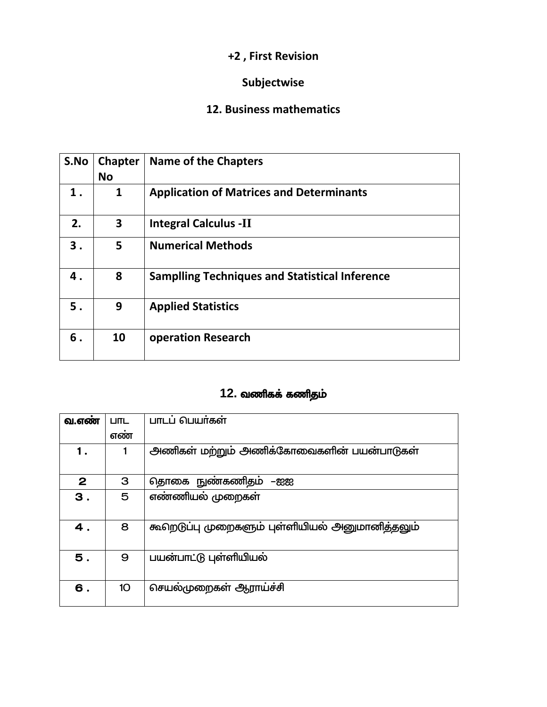## Subjectwise

#### 12. Business mathematics

| S.No | <b>Chapter</b><br><b>No</b> | <b>Name of the Chapters</b>                           |
|------|-----------------------------|-------------------------------------------------------|
| 1.   | 1                           | <b>Application of Matrices and Determinants</b>       |
| 2.   | 3                           | <b>Integral Calculus -II</b>                          |
| 3.   | 5                           | <b>Numerical Methods</b>                              |
| 4.   | 8                           | <b>Samplling Techniques and Statistical Inference</b> |
| 5.   | 9                           | <b>Applied Statistics</b>                             |
| 6.   | 10                          | <b>operation Research</b>                             |

## 12. வணிகக் கணிதம்

| வ.எண்        | <b>LITL</b>     | பாடப் பெயர்கள்                                  |
|--------------|-----------------|-------------------------------------------------|
|              | எண்             |                                                 |
| 1.           |                 | அணிகள் மற்றும் அணிக்கோவைகளின் பயன்பாடுகள்       |
| $\mathbf{2}$ | З               | தொகை நுண்கணிதம்<br>-සස                          |
| 3.           | 5               | எண்ணியல் முறைகள்                                |
|              |                 |                                                 |
| 4.           | 8               | கூறெடுப்பு முறைகளும் புள்ளியியல் அனுமானித்தலும் |
| 5.           | 9               | பயன்பாட்டு புள்ளியியல்                          |
| 6.           | 10 <sup>°</sup> | செயல்முறைகள் ஆராய்ச்சி                          |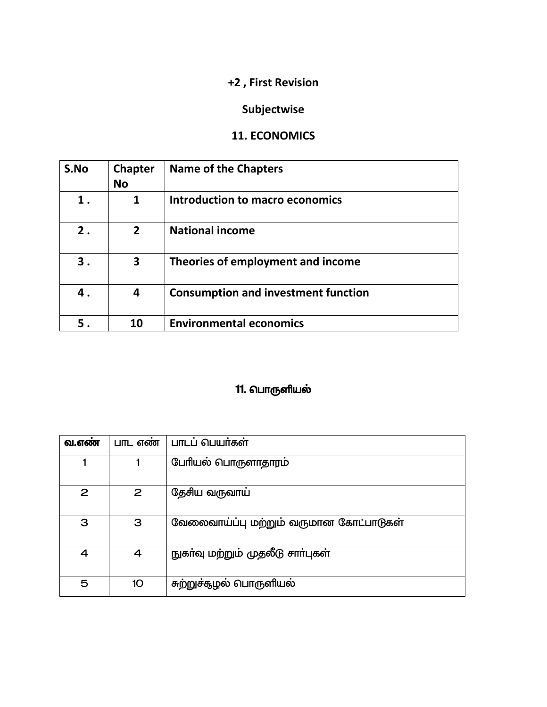## Subjectwise

### 11. ECONOMICS

| S.No | <b>Chapter</b><br><b>No</b> | <b>Name of the Chapters</b>                |
|------|-----------------------------|--------------------------------------------|
| 1.   | 1                           | Introduction to macro economics            |
| 2.   | $\mathbf{2}$                | <b>National income</b>                     |
| З.   | 3                           | Theories of employment and income          |
| 4.   | 4                           | <b>Consumption and investment function</b> |
| 5.   | 10                          | <b>Environmental economics</b>             |

# 11. பொருளியல்

| வ.எண் | $L$ ITL எண் | பாடப் பெயர்கள்                          |
|-------|-------------|-----------------------------------------|
|       |             | பேரியல் பொருளாதாரம                      |
| 2     | 2           | தேசிய வருவாய்                           |
| 3     | З           | வேலைவாய்ப்பு மற்றும் வருமான கோட்பாடுகள் |
| 4     | 4           | நுகா்வு மற்றும் முதலீடு சாா்புகள்       |
| 5     | 10          | சுற்றுச்சூழல் பொருளியல்                 |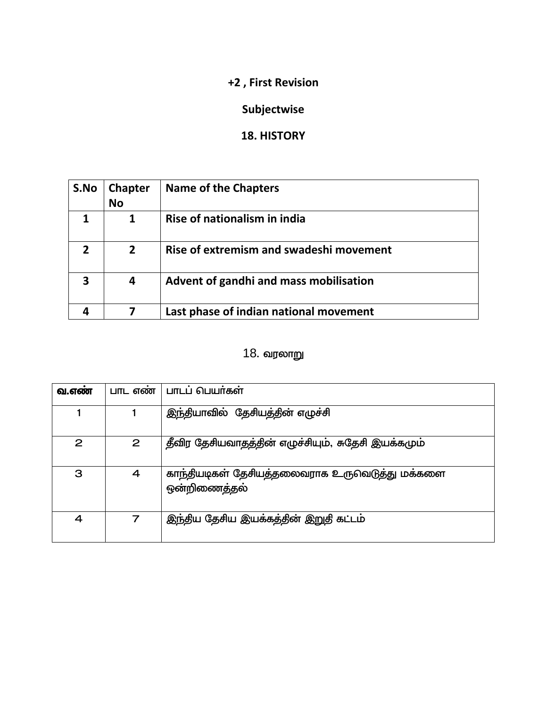## Subjectwise

### 18. HISTORY

| S.No | <b>Chapter</b><br><b>No</b> | <b>Name of the Chapters</b>             |
|------|-----------------------------|-----------------------------------------|
|      |                             | Rise of nationalism in india            |
|      | $\overline{2}$              | Rise of extremism and swadeshi movement |
| 3    | 4                           | Advent of gandhi and mass mobilisation  |
|      |                             | Last phase of indian national movement  |

# 18. வரலாறு

| வ.எண | பாட எண       | பாடப் பெயர்கள்                                                 |
|------|--------------|----------------------------------------------------------------|
|      |              | இந்தியாவில் தேசியத்தின் எழுச்சி                                |
| 2    | $\mathbf{2}$ | தீவிர தேசியவாதத்தின் எழுச்சியும், சுதேசி இயக்கமும்             |
| 3    | 4            | காந்தியடிகள் தேசியத்தலைவராக உருவெடுத்து மக்களை<br>ஒன்றிணைத்தல் |
| 4    | 7            | இந்திய தேசிய இயக்கத்தின் இறுதி கட்டம்                          |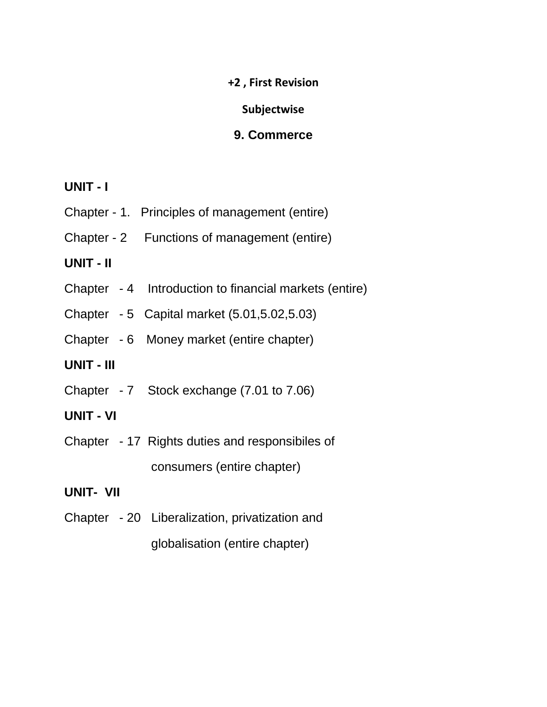#### **Subjectwise**

#### **9. Commerce**

#### **UNIT - I**

- Chapter 1. Principles of management (entire)
- Chapter 2 Functions of management (entire)

### **UNIT - II**

- Chapter 4 Introduction to financial markets (entire)
- Chapter 5 Capital market (5.01,5.02,5.03)
- Chapter 6 Money market (entire chapter)

### **UNIT - III**

- Chapter 7 Stock exchange (7.01 to 7.06)
- **UNIT - VI**
- Chapter 17 Rights duties and responsibiles of consumers (entire chapter)

### **UNIT- VII**

Chapter - 20 Liberalization, privatization and globalisation (entire chapter)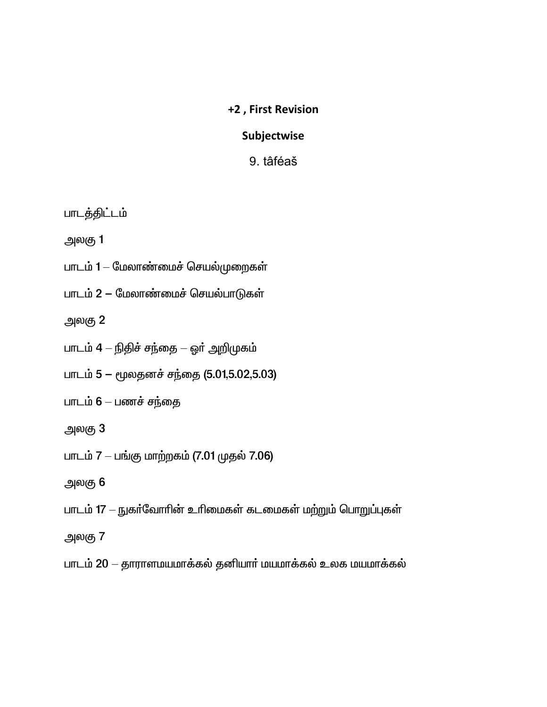#### Subjectwise

9. tâféaš

பாடத்திட்டம்

அலகு 1

- பாடம் 1 மேலாண்மைச் செயல்முறைகள்
- பாடம் 2 மேலாண்மைச் செயல்பாடுகள்

அலகு 2

- பாடம் 4 நிதிச் சந்தை ஓா் அறிமுகம்
- பாடம் 5 மூலதனச் சந்தை (5.01,5.02,5.03)
- பாடம் 6 பணச் சந்தை
- அலகு 3
- பாடம் 7 பங்கு மாற்றகம் (7.01 முதல் 7.06)
- அலகு 6
- பாடம் 17 நுகர்வோரின் உரிமைகள் கடமைகள் மற்றும் பொறுப்புகள்
- அலகு 7
- பாடம் 20 தாராளமயமாக்கல் தனியார் மயமாக்கல் உலக மயமாக்கல்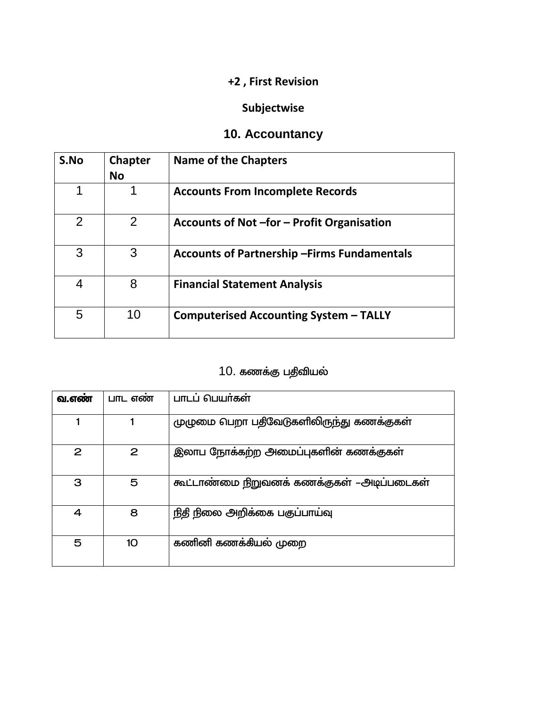## Subjectwise

# 10. Accountancy

| S.No           | <b>Chapter</b><br><b>No</b> | <b>Name of the Chapters</b>                         |
|----------------|-----------------------------|-----------------------------------------------------|
| 1              | 1                           | <b>Accounts From Incomplete Records</b>             |
| $\overline{2}$ | 2                           | Accounts of Not -for - Profit Organisation          |
| 3              | 3                           | <b>Accounts of Partnership - Firms Fundamentals</b> |
| 4              | 8                           | <b>Financial Statement Analysis</b>                 |
| 5              | 10                          | <b>Computerised Accounting System - TALLY</b>       |

# 10. கணக்கு பதிவியல்

| வ.எண | பாட எண | பாடப் பெயர்கள்                             |
|------|--------|--------------------------------------------|
|      |        | முழுமை பெறா பதிவேடுகளிலிருந்து கணக்குகள்   |
| 2    | 2      | இலாப நோக்கற்ற அமைப்புகளின் கணக்குகள்       |
| З    | 5      | கூட்டாண்மை நிறுவனக் கணக்குகள் –அடிப்படைகள் |
| 4    | 8      | நிதி நிலை அறிக்கை பகுப்பாய்வு              |
| 5    | 10     | கணினி கணக்கியல் முறை                       |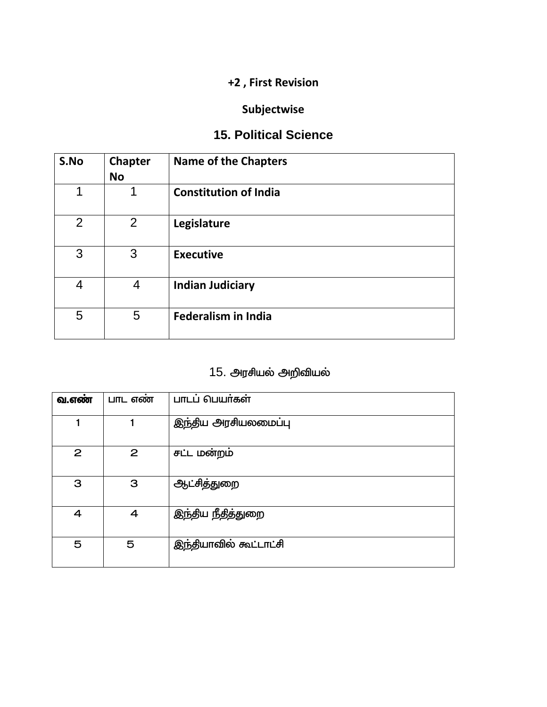## Subjectwise

## **15. Political Science**

| S.No | <b>Chapter</b><br><b>No</b> | <b>Name of the Chapters</b>  |
|------|-----------------------------|------------------------------|
| 1    | 1                           | <b>Constitution of India</b> |
| 2    | 2                           | Legislature                  |
| 3    | 3                           | <b>Executive</b>             |
| 4    | 4                           | <b>Indian Judiciary</b>      |
| 5    | 5                           | <b>Federalism in India</b>   |

# 15. அரசியல் அறிவியல்

| வ.எண் | பாட எண் | பாடப் பெயர்கள்         |
|-------|---------|------------------------|
|       |         | இந்திய அரசியலமைப்பு    |
| 2     | 2       | சட்ட மன்றம்            |
| 3     | 3       | ஆட்சித்துறை            |
| 4     | 4       | இந்திய நீதித்துறை      |
| 5     | 5       | இந்தியாவில் கூட்டாட்சி |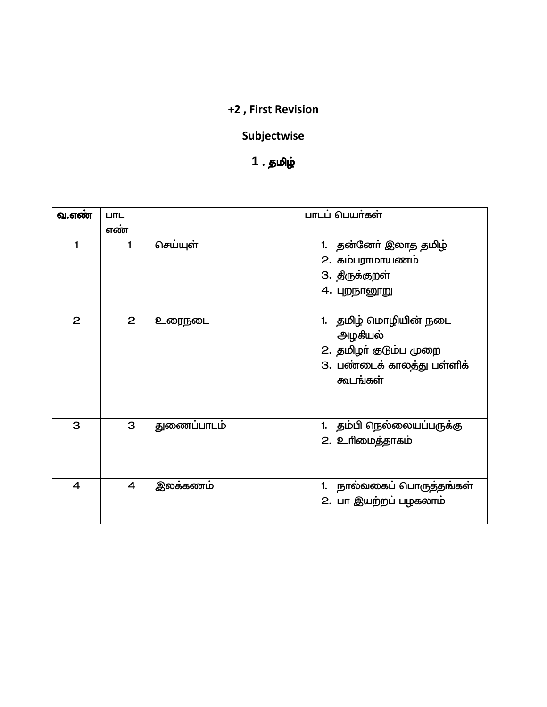## Subjectwise

# 1 . தமிழ்

| வ.எண் | <b>LITIL</b>   |             | பாடப் பெயர்கள்             |
|-------|----------------|-------------|----------------------------|
|       | எண்            |             |                            |
| 1     | 1              | செய்யுள்    | 1. தன்னோ் இலாத தமிழ்       |
|       |                |             | 2. கம்பராமாயணம்            |
|       |                |             | 3. திருக்குறள்             |
|       |                |             | 4. புறநானூறு               |
|       |                |             |                            |
| 2     | $\overline{2}$ | உரைநடை      | 1. தமிழ் மொழியின் நடை      |
|       |                |             | அழகியல்                    |
|       |                |             | 2. தமிழா் குடும்ப முறை     |
|       |                |             | 3. பண்டைக் காலத்து பள்ளிக் |
|       |                |             | கூடங்கள்                   |
|       |                |             |                            |
|       |                |             |                            |
| 3     | З              | துணைப்பாடம் | 1. தம்பி நெல்லையப்பருக்கு  |
|       |                |             | 2. உரிமைத்தாகம்            |
|       |                |             |                            |
|       |                |             |                            |
| 4     | $\overline{4}$ | இலக்கணம்    | 1. நால்வகைப் பொருத்தங்கள்  |
|       |                |             | 2. பா இயற்றப் பழகலாம்      |
|       |                |             |                            |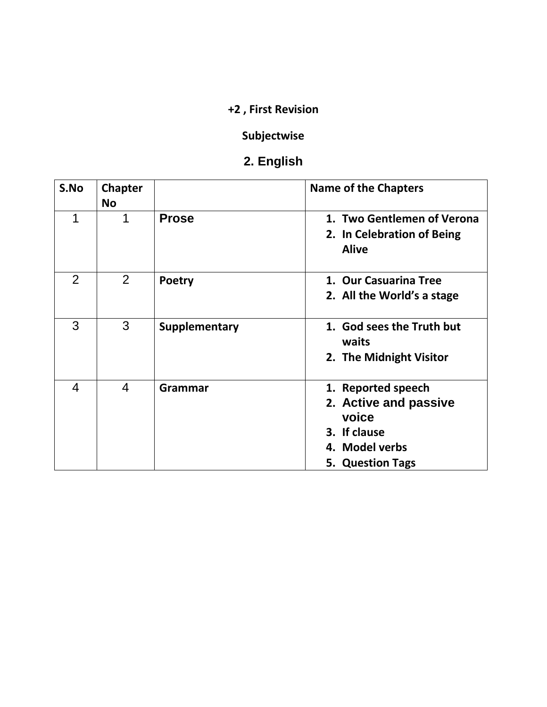## **Subjectwise**

# **2. English**

| S.No           | <b>Chapter</b><br><b>No</b> |               | <b>Name of the Chapters</b>                                                                                       |
|----------------|-----------------------------|---------------|-------------------------------------------------------------------------------------------------------------------|
| 1              | 1                           | <b>Prose</b>  | 1. Two Gentlemen of Verona<br>2. In Celebration of Being<br><b>Alive</b>                                          |
| $\overline{2}$ | 2                           | <b>Poetry</b> | 1. Our Casuarina Tree<br>2. All the World's a stage                                                               |
| 3              | 3                           | Supplementary | 1. God sees the Truth but<br>waits<br>2. The Midnight Visitor                                                     |
| 4              | 4                           | Grammar       | 1. Reported speech<br>2. Active and passive<br>voice<br>3. If clause<br>4. Model verbs<br><b>5. Question Tags</b> |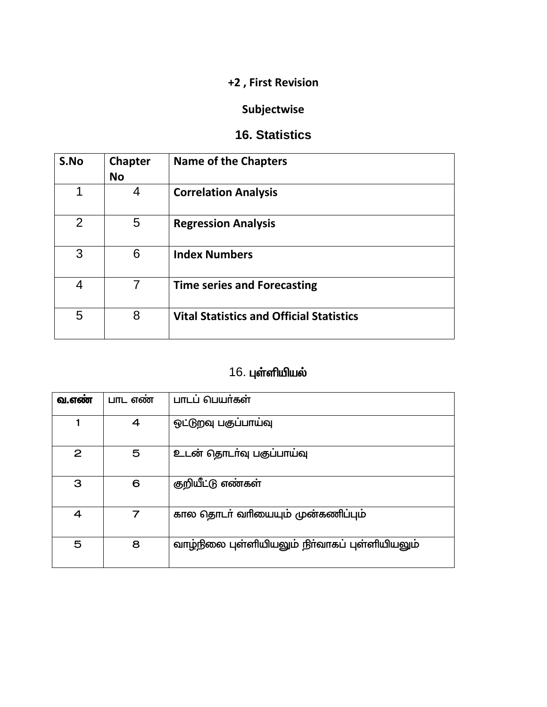## Subjectwise

#### 16. Statistics

| S.No           | <b>Chapter</b><br><b>No</b> | <b>Name of the Chapters</b>                     |
|----------------|-----------------------------|-------------------------------------------------|
| 1              | 4                           | <b>Correlation Analysis</b>                     |
| $\overline{2}$ | 5                           | <b>Regression Analysis</b>                      |
| 3              | 6                           | <b>Index Numbers</b>                            |
| 4              | 7                           | <b>Time series and Forecasting</b>              |
| 5              | 8                           | <b>Vital Statistics and Official Statistics</b> |

# 16. புள்ளியியல்

| வ.எண் | பாட எண் | பாடப் பெயர்கள்                                 |
|-------|---------|------------------------------------------------|
|       | 4       | ஒட்டுறவு பகுப்பாய்வு                           |
| 2     | 5       | உடன் தொடர்வு பகுப்பாய்வு                       |
| З     | 6       | குறியீட்டு எண்கள்                              |
| 4     |         | கால தொடர் வரியையும் முன்கணிப்பும்              |
| 5     | 8       | வாழ்நிலை புள்ளியியலும் நிர்வாகப் புள்ளியியலும் |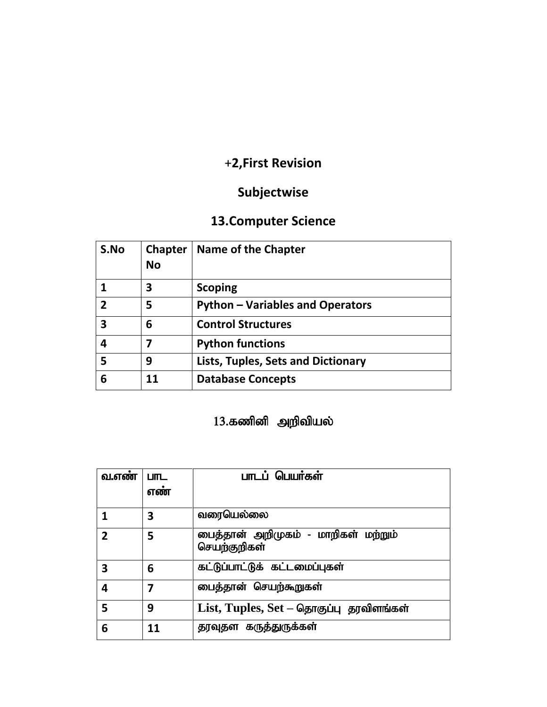# **Subjectwise**

# **13.Computer Science**

| S.No           | <b>Chapter</b><br>No | <b>Name of the Chapter</b>                |
|----------------|----------------------|-------------------------------------------|
|                | 3                    | <b>Scoping</b>                            |
| $\overline{2}$ | 5                    | <b>Python – Variables and Operators</b>   |
| 3              | 6                    | <b>Control Structures</b>                 |
| 4              | 7                    | <b>Python functions</b>                   |
| 5              | 9                    | <b>Lists, Tuples, Sets and Dictionary</b> |
| 6              | 11                   | <b>Database Concepts</b>                  |

# $13.$ கணினி அறிவியல்

| வ.எண் | <b>LITL</b><br>எண் | பாடப் பெயர்கள்                                      |
|-------|--------------------|-----------------------------------------------------|
|       | 3                  | வரையெல்லை                                           |
| 2     | 5                  | பைத்தான் அறிமுகம் - மாறிகள் மற்றும்<br>செயற்குறிகள் |
| 3     | 6                  | கட்டுப்பாட்டுக் கட்டமைப்புகள்                       |
| 4     | 7                  | பைத்தான் செயற்கூறுகள்                               |
| 5     | 9                  | $List$ , Tuples, $Set -$ தொகுப்பு தரவிளங்கள்        |
| 6     | 11                 | தரவுதள கருத்துருக்கள்                               |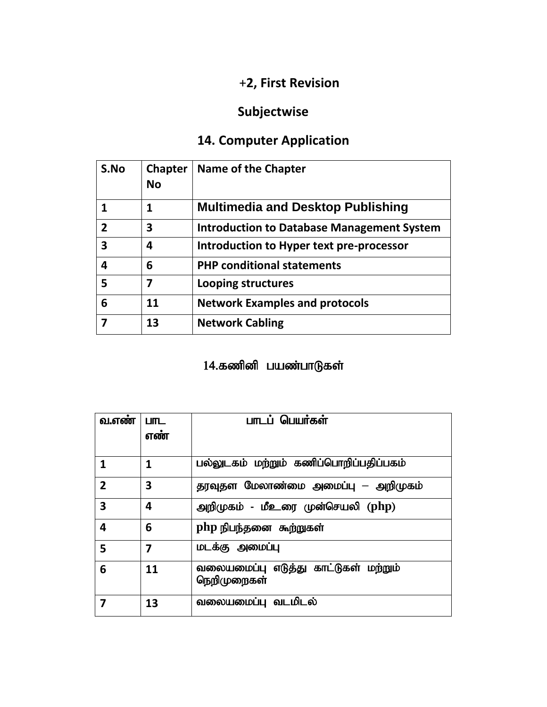# **Subjectwise**

# **14. Computer Application**

| S.No           | <b>Chapter</b><br>No | <b>Name of the Chapter</b>                        |
|----------------|----------------------|---------------------------------------------------|
|                | 1                    | <b>Multimedia and Desktop Publishing</b>          |
| $\overline{2}$ | 3                    | <b>Introduction to Database Management System</b> |
| 3              | 4                    | Introduction to Hyper text pre-processor          |
| 4              | 6                    | <b>PHP conditional statements</b>                 |
| 5              | 7                    | Looping structures                                |
| 6              | 11                   | <b>Network Examples and protocols</b>             |
|                | 13                   | <b>Network Cabling</b>                            |

# 14.கணினி பயண்பாடுகள்

| வ.எண           | பாட<br>எண | பாடப் பெயர்கள்                                      |
|----------------|-----------|-----------------------------------------------------|
|                | 1         | பல்லுடகம் மற்றும் கணிப்பொறிப்பதிப்பகம்              |
| $\overline{2}$ | 3         | தரவுதள மேலாண்மை அமைப்பு — அறிமுகம்                  |
| 3              | 4         | அறிமுகம் - மீஉரை முன்செயலி (php)                    |
| 4              | 6         | php நிபந்தனை கூற்றுகள்                              |
| 5              | 7         | மடக்கு அமைப்பு                                      |
| 6              | 11        | வலையமைப்பு எடுத்து காட்டுகள் மற்றும்<br>நெறிமுறைகள் |
|                | 13        | வலையமைப்பு வடமிடல்                                  |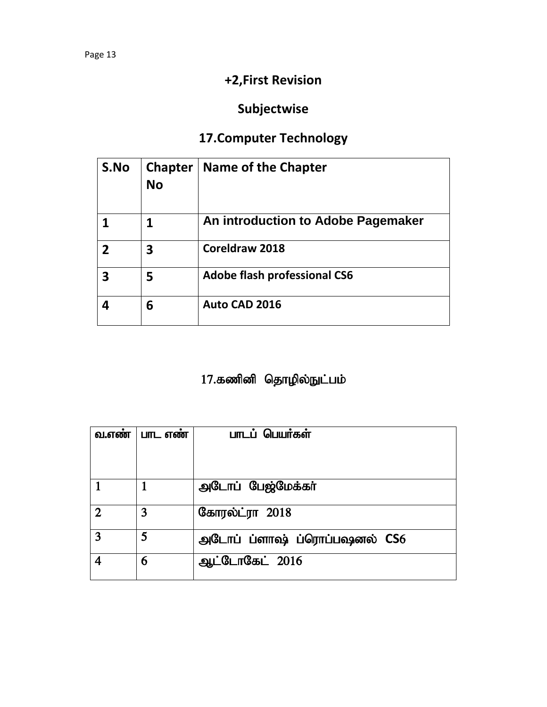# **Subjectwise**

# **17.Computer Technology**

| S.No | <b>Chapter</b><br>No | <b>Name of the Chapter</b>          |
|------|----------------------|-------------------------------------|
|      |                      | An introduction to Adobe Pagemaker  |
|      | 3                    | Coreldraw 2018                      |
|      | 5                    | <b>Adobe flash professional CS6</b> |
|      | 6                    | Auto CAD 2016                       |

# 17.கணினி தொழில்நுட்பம்

| வ.எண்          | பாட எண் | பாடப் பெயர்கள்               |
|----------------|---------|------------------------------|
|                |         |                              |
|                |         |                              |
|                |         | அடோப் பேஜ்மேக்கர்            |
|                |         |                              |
| $\mathfrak{D}$ | 3       | கோரல்ட்ரா 2018               |
| 3              | 5       | அடோப் ப்ளாஷ் ப்ரொப்பஷனல் CS6 |
|                | 6       | ஆட்டோகேட் 2016               |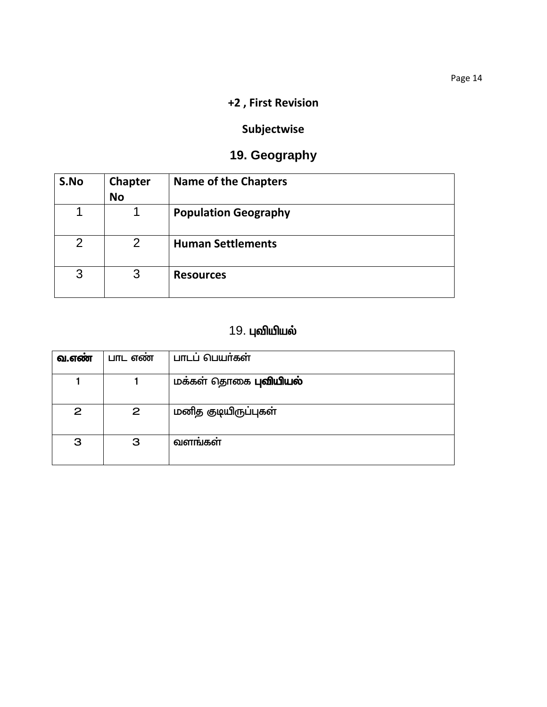## Subjectwise

## 19. Geography

| S.No           | <b>Chapter</b><br><b>No</b> | <b>Name of the Chapters</b> |
|----------------|-----------------------------|-----------------------------|
| 1              |                             | <b>Population Geography</b> |
| $\overline{2}$ | $\mathcal{P}$               | <b>Human Settlements</b>    |
| 3              | 3                           | <b>Resources</b>            |

# 19. புவியியல்

| வ.எண | பாட எண       | பாடப் பெயர்கள்               |
|------|--------------|------------------------------|
|      |              | மக்கள் தொகை <b>புவியியல்</b> |
| 2    | $\mathbf{2}$ | மனித குடியிருப்புகள்         |
| 3    | З            | வளங்கள்                      |